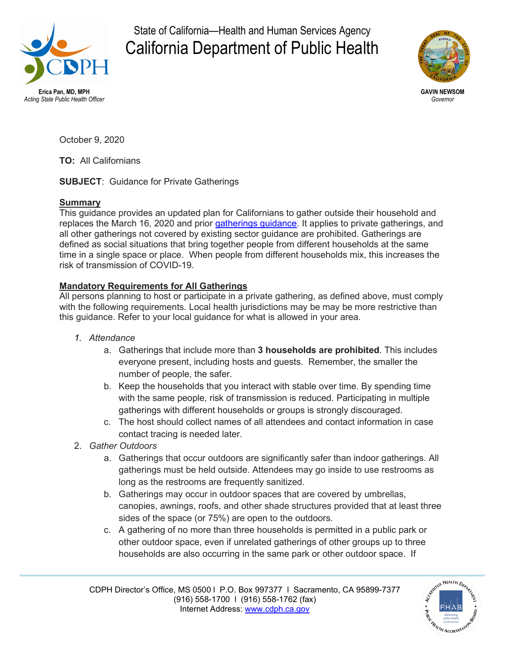

State of California—Health and Human Services Agency California Department of Public Health



*Acting State Public Health Officer Governor*

October 9, 2020

**TO:** All Californians

**SUBJECT**: Guidance for Private Gatherings

## **Summary**

This guidance provides an updated plan for Californians to gather outside their household and replaces the March 16, 2020 and prior [gatherings guidance.](https://gcc02.safelinks.protection.outlook.com/?url=https%3A%2F%2Fwww.cdph.ca.gov%2FPrograms%2FCID%2FDCDC%2FPages%2FCOVID-19%2FCDPHGuidanceforthePreventionofCOVID19TransmissionforGatherings.aspx&data=02%7C01%7C%7Ccc3dc36fdc784367b31408d8567dd868%7C28891a93888f489f9930e78b8f733ca6%7C0%7C1%7C637354445795945796&sdata=qBxooRTHsYik5Aihxh2RP2pGcvDDTkpUT1MAlkJpDK0%3D&reserved=0) It applies to private gatherings, and all other gatherings not covered by existing sector guidance are prohibited. Gatherings are defined as social situations that bring together people from different households at the same time in a single space or place. When people from different households mix, this increases the risk of transmission of COVID-19.

## **Mandatory Requirements for All Gatherings**

All persons planning to host or participate in a private gathering, as defined above, must comply with the following requirements. Local health jurisdictions may be may be more restrictive than this guidance. Refer to your local guidance for what is allowed in your area.

## *1. Attendance*

- a. Gatherings that include more than **3 households are prohibited**. This includes everyone present, including hosts and guests. Remember, the smaller the number of people, the safer.
- b. Keep the households that you interact with stable over time. By spending time with the same people, risk of transmission is reduced. Participating in multiple gatherings with different households or groups is strongly discouraged.
- c. The host should collect names of all attendees and contact information in case contact tracing is needed later.
- 2. *Gather Outdoors* 
	- a. Gatherings that occur outdoors are significantly safer than indoor gatherings. All gatherings must be held outside. Attendees may go inside to use restrooms as long as the restrooms are frequently sanitized.
	- b. Gatherings may occur in outdoor spaces that are covered by umbrellas, canopies, awnings, roofs, and other shade structures provided that at least three sides of the space (or 75%) are open to the outdoors.
	- c. A gathering of no more than three households is permitted in a public park or other outdoor space, even if unrelated gatherings of other groups up to three households are also occurring in the same park or other outdoor space. If

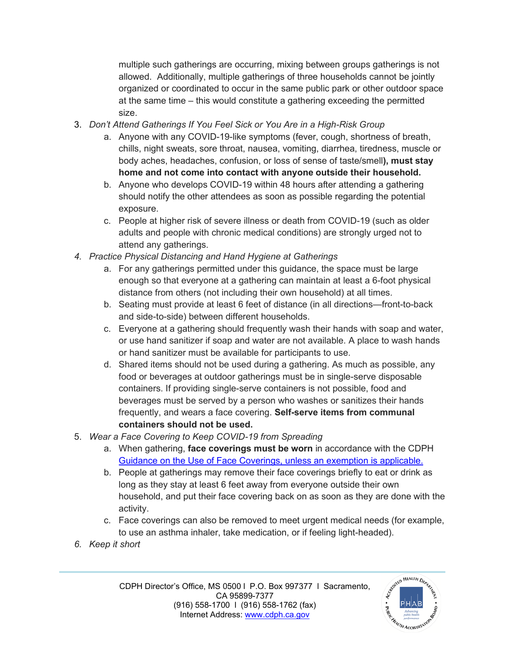multiple such gatherings are occurring, mixing between groups gatherings is not allowed. Additionally, multiple gatherings of three households cannot be jointly organized or coordinated to occur in the same public park or other outdoor space at the same time – this would constitute a gathering exceeding the permitted size.

- 3. *Don't Attend Gatherings If You Feel Sick or You Are in a High-Risk Group*
	- a. Anyone with any COVID-19-like symptoms (fever, cough, shortness of breath, chills, night sweats, sore throat, nausea, vomiting, diarrhea, tiredness, muscle or body aches, headaches, confusion, or loss of sense of taste/smell**), must stay home and not come into contact with anyone outside their household.**
	- b. Anyone who develops COVID-19 within 48 hours after attending a gathering should notify the other attendees as soon as possible regarding the potential exposure.
	- c. People at higher risk of severe illness or death from COVID-19 (such as older adults and people with chronic medical conditions) are strongly urged not to attend any gatherings.
- *4. Practice Physical Distancing and Hand Hygiene at Gatherings*
	- a. For any gatherings permitted under this guidance, the space must be large enough so that everyone at a gathering can maintain at least a 6-foot physical distance from others (not including their own household) at all times.
	- b. Seating must provide at least 6 feet of distance (in all directions—front-to-back and side-to-side) between different households.
	- c. Everyone at a gathering should frequently wash their hands with soap and water, or use hand sanitizer if soap and water are not available. A place to wash hands or hand sanitizer must be available for participants to use.
	- d. Shared items should not be used during a gathering. As much as possible, any food or beverages at outdoor gatherings must be in single-serve disposable containers. If providing single-serve containers is not possible, food and beverages must be served by a person who washes or sanitizes their hands frequently, and wears a face covering. **Self-serve items from communal containers should not be used.**
- 5. *Wear a Face Covering to Keep COVID-19 from Spreading*
	- a. When gathering, **face coverings must be worn** in accordance with the CDPH [Guidance on the Use of Face Coverings,](https://gcc02.safelinks.protection.outlook.com/?url=https%3A%2F%2Fwww.cdph.ca.gov%2FPrograms%2FCID%2FDCDC%2FCDPH%2520Document%2520Library%2FCOVID-19%2FGuidance-for-Face-Coverings_06-18-2020.pdf&data=02%7C01%7C%7Ccc3dc36fdc784367b31408d8567dd868%7C28891a93888f489f9930e78b8f733ca6%7C0%7C1%7C637354445795955753&sdata=IP7hHGzN8r%2BSgIlbcIW8NEz31dBxKOXLrT5VvCgSDyo%3D&reserved=0) unless an exemption is applicable.
	- b. People at gatherings may remove their face coverings briefly to eat or drink as long as they stay at least 6 feet away from everyone outside their own household, and put their face covering back on as soon as they are done with the activity.
	- c. Face coverings can also be removed to meet urgent medical needs (for example, to use an asthma inhaler, take medication, or if feeling light-headed).
- *6. Keep it short*

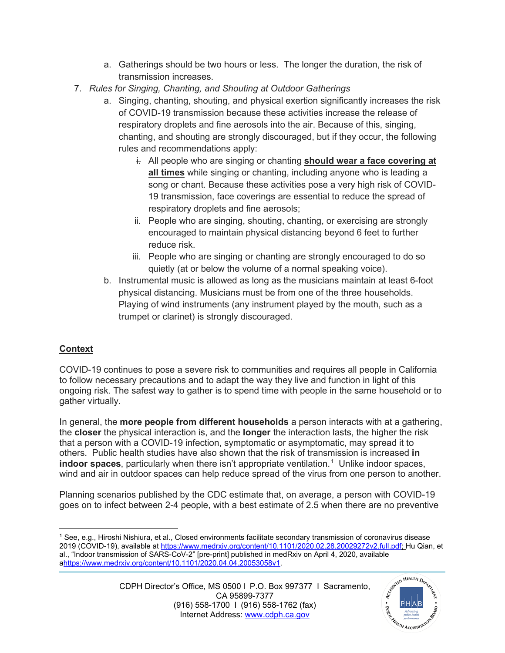- a. Gatherings should be two hours or less. The longer the duration, the risk of transmission increases.
- 7. *Rules for Singing, Chanting, and Shouting at Outdoor Gatherings*
	- a. Singing, chanting, shouting, and physical exertion significantly increases the risk of COVID-19 transmission because these activities increase the release of respiratory droplets and fine aerosols into the air. Because of this, singing, chanting, and shouting are strongly discouraged, but if they occur, the following rules and recommendations apply:
		- i. All people who are singing or chanting **should wear a face covering at all times** while singing or chanting, including anyone who is leading a song or chant. Because these activities pose a very high risk of COVID-19 transmission, face coverings are essential to reduce the spread of respiratory droplets and fine aerosols;
		- ii. People who are singing, shouting, chanting, or exercising are strongly encouraged to maintain physical distancing beyond 6 feet to further reduce risk.
		- iii. People who are singing or chanting are strongly encouraged to do so quietly (at or below the volume of a normal speaking voice).
	- b. Instrumental music is allowed as long as the musicians maintain at least 6-foot physical distancing. Musicians must be from one of the three households. Playing of wind instruments (any instrument played by the mouth, such as a trumpet or clarinet) is strongly discouraged.

## **Context**

COVID-19 continues to pose a severe risk to communities and requires all people in California to follow necessary precautions and to adapt the way they live and function in light of this ongoing risk. The safest way to gather is to spend time with people in the same household or to gather virtually.

In general, the **more people from different households** a person interacts with at a gathering, the **closer** the physical interaction is, and the **longer** the interaction lasts, the higher the risk that a person with a COVID-19 infection, symptomatic or asymptomatic, may spread it to others. Public health studies have also shown that the risk of transmission is increased **in**  indoor spaces, particularly when there isn't appropriate ventilation.<sup>[1](#page-2-0)</sup> Unlike indoor spaces, wind and air in outdoor spaces can help reduce spread of the virus from one person to another.

Planning scenarios published by the CDC estimate that, on average, a person with COVID-19 goes on to infect between 2-4 people, with a best estimate of 2.5 when there are no preventive



<span id="page-2-0"></span><sup>1</sup> See, e.g., Hiroshi Nishiura, et al., Closed environments facilitate secondary transmission of coronavirus disease 2019 (COVID-19), available at [https://www.medrxiv.org/content/10.1101/2020.02.28.20029272v2.full.pdf;](https://gcc02.safelinks.protection.outlook.com/?url=https%3A%2F%2Fwww.medrxiv.org%2Fcontent%2F10.1101%2F2020.02.28.20029272v2.full.pdf&data=02%7C01%7C%7Ccc3dc36fdc784367b31408d8567dd868%7C28891a93888f489f9930e78b8f733ca6%7C0%7C1%7C637354445795975664&sdata=qZtxyh3zHvq5XDDC5GQUvXvg%2BLVrxFMA5OY28tFg45g%3D&reserved=0) Hu Qian, et al., "Indoor transmission of SARS-CoV-2" [pre-print] published in medRxiv on April 4, 2020, available [ahttps://www.medrxiv.org/content/10.1101/2020.04.04.20053058v1.](https://www.medrxiv.org/content/10.1101/2020.04.04.20053058v1)